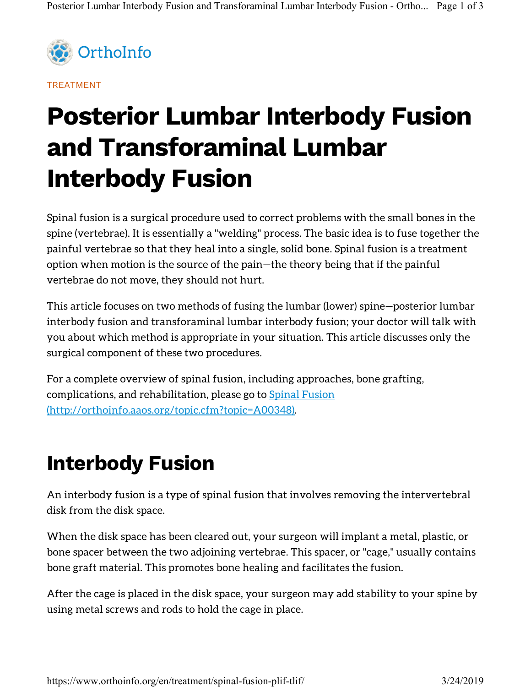

TREATMENT

# Posterior Lumbar Interbody Fusion and Transforaminal Lumbar Interbody Fusion

Spinal fusion is a surgical procedure used to correct problems with the small bones in the spine (vertebrae). It is essentially a "welding" process. The basic idea is to fuse together the painful vertebrae so that they heal into a single, solid bone. Spinal fusion is a treatment option when motion is the source of the pain—the theory being that if the painful vertebrae do not move, they should not hurt.

This article focuses on two methods of fusing the lumbar (lower) spine—posterior lumbar interbody fusion and transforaminal lumbar interbody fusion; your doctor will talk with you about which method is appropriate in your situation. This article discusses only the surgical component of these two procedures.

For a complete overview of spinal fusion, including approaches, bone grafting, complications, and rehabilitation, please go to **Spinal Fusion** (http://orthoinfo.aaos.org/topic.cfm?topic=A00348) .

## Interbody Fusion

An interbody fusion is a type of spinal fusion that involves removing the intervertebral disk from the disk space.

When the disk space has been cleared out, your surgeon will implant a metal, plastic, or bone spacer between the two adjoining vertebrae. This spacer, or "cage," usually contains bone graft material. This promotes bone healing and facilitates the fusion.

After the cage is placed in the disk space, your surgeon may add stability to your spine by using metal screws and rods to hold the cage in place.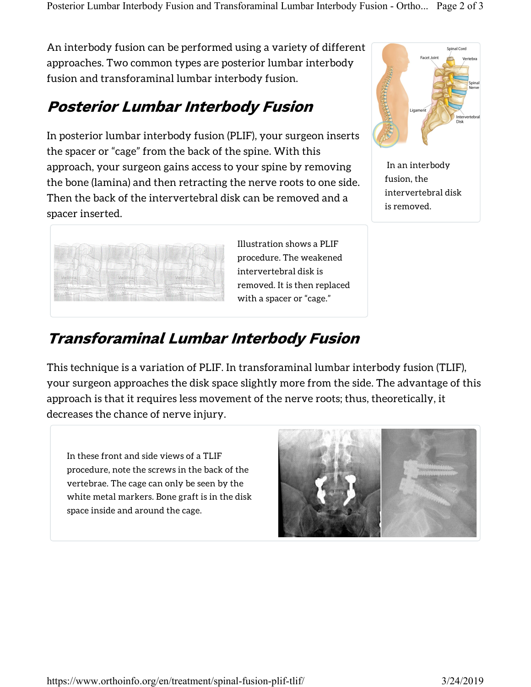An interbody fusion can be performed using a variety of different approaches. Two common types are posterior lumbar interbody fusion and transforaminal lumbar interbody fusion.

### Posterior Lumbar Interbody Fusion

In posterior lumbar interbody fusion (PLIF), your surgeon inserts the spacer or "cage" from the back of the spine. With this approach, your surgeon gains access to your spine by removing the bone (lamina) and then retracting the nerve roots to one side. Then the back of the intervertebral disk can be removed and a spacer inserted.



 In an interbody fusion, the intervertebral disk is removed.



Illustration shows a PLIF procedure. The weakened intervertebral disk is removed. It is then replaced with a spacer or "cage."

### Transforaminal Lumbar Interbody Fusion

This technique is a variation of PLIF. In transforaminal lumbar interbody fusion (TLIF), your surgeon approaches the disk space slightly more from the side. The advantage of this approach is that it requires less movement of the nerve roots; thus, theoretically, it decreases the chance of nerve injury.

In these front and side views of a TLIF procedure, note the screws in the back of the vertebrae. The cage can only be seen by the white metal markers. Bone graft is in the disk space inside and around the cage.